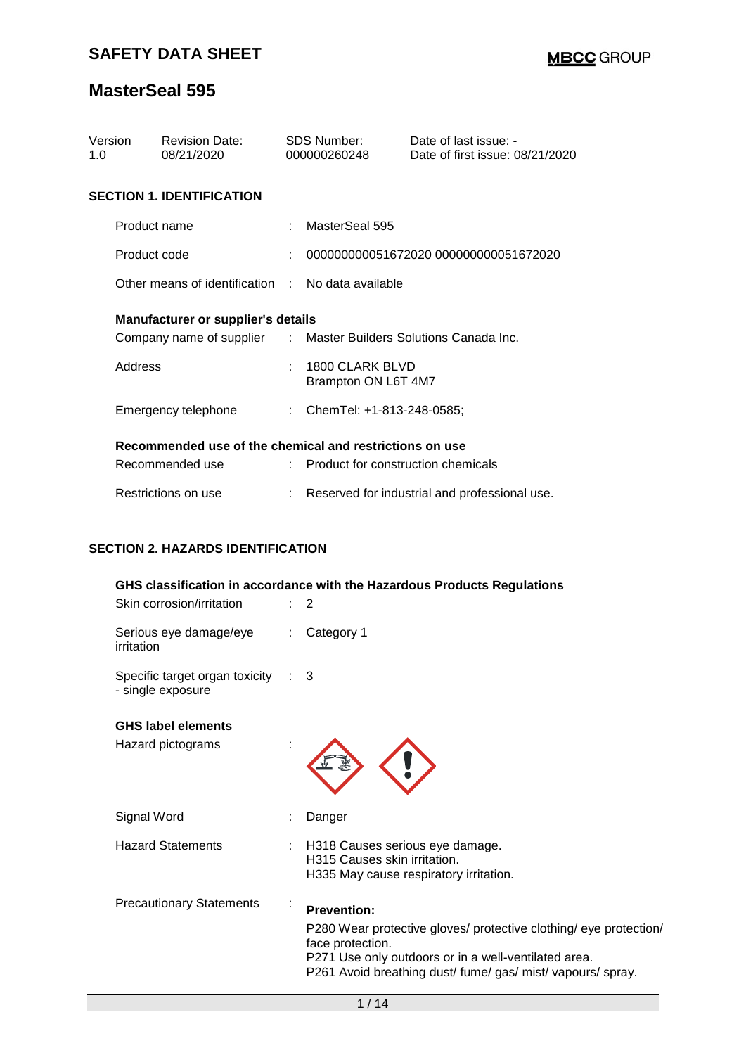| Version<br>1.0                                                   | <b>Revision Date:</b><br>08/21/2020               |    | <b>SDS Number:</b><br>000000260248     | Date of last issue: -<br>Date of first issue: 08/21/2020 |  |  |  |  |
|------------------------------------------------------------------|---------------------------------------------------|----|----------------------------------------|----------------------------------------------------------|--|--|--|--|
| <b>SECTION 1. IDENTIFICATION</b>                                 |                                                   |    |                                        |                                                          |  |  |  |  |
|                                                                  | Product name                                      |    | MasterSeal 595                         |                                                          |  |  |  |  |
|                                                                  | Product code                                      |    |                                        | 000000000051672020 000000000051672020                    |  |  |  |  |
|                                                                  | Other means of identification : No data available |    |                                        |                                                          |  |  |  |  |
|                                                                  | <b>Manufacturer or supplier's details</b>         |    |                                        |                                                          |  |  |  |  |
| Company name of supplier : Master Builders Solutions Canada Inc. |                                                   |    |                                        |                                                          |  |  |  |  |
| Address                                                          |                                                   | ÷. | 1800 CLARK BLVD<br>Brampton ON L6T 4M7 |                                                          |  |  |  |  |
|                                                                  | Emergency telephone                               |    | : ChemTel: +1-813-248-0585;            |                                                          |  |  |  |  |
| Recommended use of the chemical and restrictions on use          |                                                   |    |                                        |                                                          |  |  |  |  |
|                                                                  | Recommended use                                   |    | : Product for construction chemicals   |                                                          |  |  |  |  |
| Restrictions on use                                              |                                                   |    |                                        | Reserved for industrial and professional use.            |  |  |  |  |

### **SECTION 2. HAZARDS IDENTIFICATION**

| GHS classification in accordance with the Hazardous Products Regulations |  |                                                                                                                                                                                                                                    |  |  |  |  |
|--------------------------------------------------------------------------|--|------------------------------------------------------------------------------------------------------------------------------------------------------------------------------------------------------------------------------------|--|--|--|--|
| Skin corrosion/irritation                                                |  | $\therefore$ 2                                                                                                                                                                                                                     |  |  |  |  |
| Serious eye damage/eye<br>irritation                                     |  | Category 1                                                                                                                                                                                                                         |  |  |  |  |
| Specific target organ toxicity : 3<br>- single exposure                  |  |                                                                                                                                                                                                                                    |  |  |  |  |
| <b>GHS label elements</b>                                                |  |                                                                                                                                                                                                                                    |  |  |  |  |
| Hazard pictograms                                                        |  |                                                                                                                                                                                                                                    |  |  |  |  |
| Signal Word                                                              |  | Danger                                                                                                                                                                                                                             |  |  |  |  |
| <b>Hazard Statements</b>                                                 |  | H318 Causes serious eye damage.<br>H315 Causes skin irritation.<br>H335 May cause respiratory irritation.                                                                                                                          |  |  |  |  |
| <b>Precautionary Statements</b>                                          |  | <b>Prevention:</b><br>P280 Wear protective gloves/ protective clothing/ eye protection/<br>face protection.<br>P271 Use only outdoors or in a well-ventilated area.<br>P261 Avoid breathing dust/ fume/ gas/ mist/ vapours/ spray. |  |  |  |  |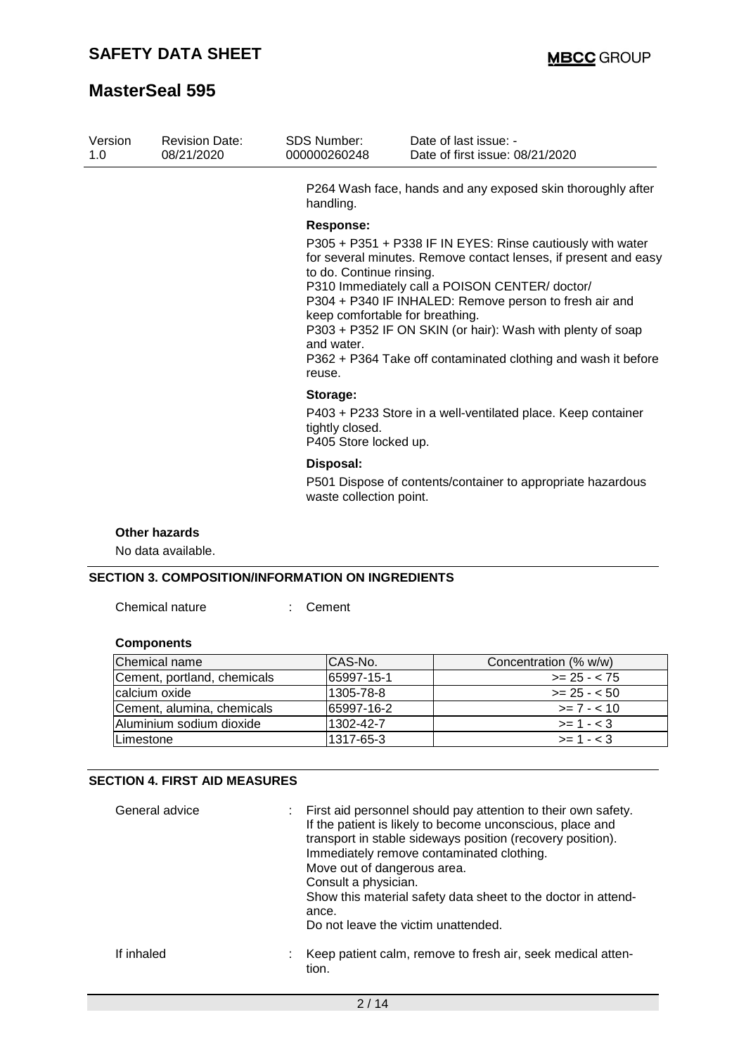| Version<br>1.0 | <b>Revision Date:</b><br>08/21/2020 | <b>SDS Number:</b><br>000000260248                                                                                                                                                                                                                                                                                                                                                                                                                             | Date of last issue: -<br>Date of first issue: 08/21/2020     |  |  |  |
|----------------|-------------------------------------|----------------------------------------------------------------------------------------------------------------------------------------------------------------------------------------------------------------------------------------------------------------------------------------------------------------------------------------------------------------------------------------------------------------------------------------------------------------|--------------------------------------------------------------|--|--|--|
|                |                                     | handling.                                                                                                                                                                                                                                                                                                                                                                                                                                                      | P264 Wash face, hands and any exposed skin thoroughly after  |  |  |  |
|                |                                     | <b>Response:</b>                                                                                                                                                                                                                                                                                                                                                                                                                                               |                                                              |  |  |  |
|                |                                     | P305 + P351 + P338 IF IN EYES: Rinse cautiously with water<br>for several minutes. Remove contact lenses, if present and easy<br>to do. Continue rinsing.<br>P310 Immediately call a POISON CENTER/doctor/<br>P304 + P340 IF INHALED: Remove person to fresh air and<br>keep comfortable for breathing.<br>P303 + P352 IF ON SKIN (or hair): Wash with plenty of soap<br>and water.<br>P362 + P364 Take off contaminated clothing and wash it before<br>reuse. |                                                              |  |  |  |
|                |                                     | Storage:<br>tightly closed.<br>P405 Store locked up.                                                                                                                                                                                                                                                                                                                                                                                                           | P403 + P233 Store in a well-ventilated place. Keep container |  |  |  |
|                |                                     | Disposal:<br>waste collection point.                                                                                                                                                                                                                                                                                                                                                                                                                           | P501 Dispose of contents/container to appropriate hazardous  |  |  |  |

#### **Other hazards**

No data available.

### **SECTION 3. COMPOSITION/INFORMATION ON INGREDIENTS**

Chemical nature : Cement

### **Components**

| Chemical name               | ICAS-No.   | Concentration (% w/w) |
|-----------------------------|------------|-----------------------|
| Cement, portland, chemicals | 65997-15-1 | $>= 25 - < 75$        |
| calcium oxide               | 1305-78-8  | $>= 25 - 50$          |
| Cement, alumina, chemicals  | 65997-16-2 | $>= 7 - 10$           |
| Aluminium sodium dioxide    | 1302-42-7  | $>= 1 - < 3$          |
| <b>ILimestone</b>           | 1317-65-3  | $>= 1 - < 3$          |

### **SECTION 4. FIRST AID MEASURES**

| General advice | : First aid personnel should pay attention to their own safety.<br>If the patient is likely to become unconscious, place and<br>transport in stable sideways position (recovery position).<br>Immediately remove contaminated clothing.<br>Move out of dangerous area.<br>Consult a physician.<br>Show this material safety data sheet to the doctor in attend-<br>ance.<br>Do not leave the victim unattended. |
|----------------|-----------------------------------------------------------------------------------------------------------------------------------------------------------------------------------------------------------------------------------------------------------------------------------------------------------------------------------------------------------------------------------------------------------------|
| If inhaled     | Keep patient calm, remove to fresh air, seek medical atten-<br>tion.                                                                                                                                                                                                                                                                                                                                            |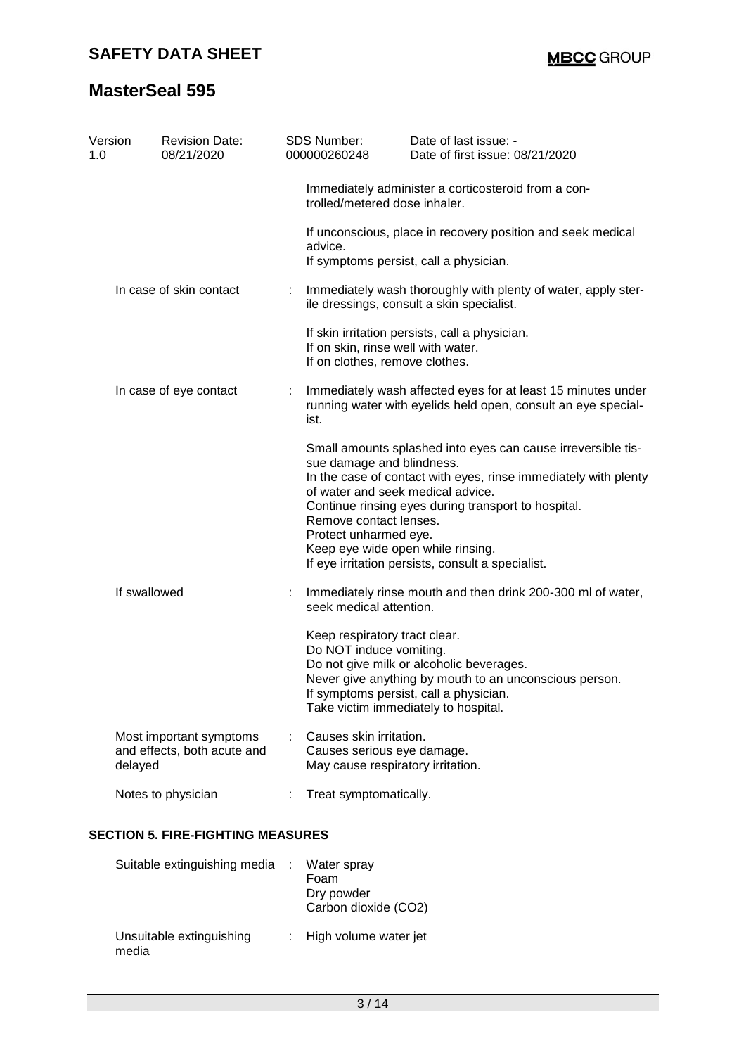| Version<br>1.0 | <b>Revision Date:</b><br>08/21/2020                    | <b>SDS Number:</b><br>000000260248                                                         | Date of last issue: -<br>Date of first issue: 08/21/2020                                                                                                                                                                                                                                                              |
|----------------|--------------------------------------------------------|--------------------------------------------------------------------------------------------|-----------------------------------------------------------------------------------------------------------------------------------------------------------------------------------------------------------------------------------------------------------------------------------------------------------------------|
|                |                                                        | trolled/metered dose inhaler.                                                              | Immediately administer a corticosteroid from a con-                                                                                                                                                                                                                                                                   |
|                |                                                        | advice.                                                                                    | If unconscious, place in recovery position and seek medical<br>If symptoms persist, call a physician.                                                                                                                                                                                                                 |
|                | In case of skin contact                                |                                                                                            | Immediately wash thoroughly with plenty of water, apply ster-<br>ile dressings, consult a skin specialist.                                                                                                                                                                                                            |
|                |                                                        | If on skin, rinse well with water.<br>If on clothes, remove clothes.                       | If skin irritation persists, call a physician.                                                                                                                                                                                                                                                                        |
|                | In case of eye contact                                 | ist.                                                                                       | Immediately wash affected eyes for at least 15 minutes under<br>running water with eyelids held open, consult an eye special-                                                                                                                                                                                         |
|                |                                                        | sue damage and blindness.<br>Remove contact lenses.<br>Protect unharmed eye.               | Small amounts splashed into eyes can cause irreversible tis-<br>In the case of contact with eyes, rinse immediately with plenty<br>of water and seek medical advice.<br>Continue rinsing eyes during transport to hospital.<br>Keep eye wide open while rinsing.<br>If eye irritation persists, consult a specialist. |
|                | If swallowed                                           | seek medical attention.                                                                    | Immediately rinse mouth and then drink 200-300 ml of water,                                                                                                                                                                                                                                                           |
|                |                                                        | Keep respiratory tract clear.<br>Do NOT induce vomiting.                                   | Do not give milk or alcoholic beverages.<br>Never give anything by mouth to an unconscious person.<br>If symptoms persist, call a physician.<br>Take victim immediately to hospital.                                                                                                                                  |
| delayed        | Most important symptoms<br>and effects, both acute and | Causes skin irritation.<br>Causes serious eye damage.<br>May cause respiratory irritation. |                                                                                                                                                                                                                                                                                                                       |
|                | Notes to physician                                     | Treat symptomatically.                                                                     |                                                                                                                                                                                                                                                                                                                       |

### **SECTION 5. FIRE-FIGHTING MEASURES**

| Suitable extinguishing media : Water spray | Foam<br>Dry powder<br>Carbon dioxide (CO2) |
|--------------------------------------------|--------------------------------------------|
| Unsuitable extinguishing<br>media          | : High volume water jet                    |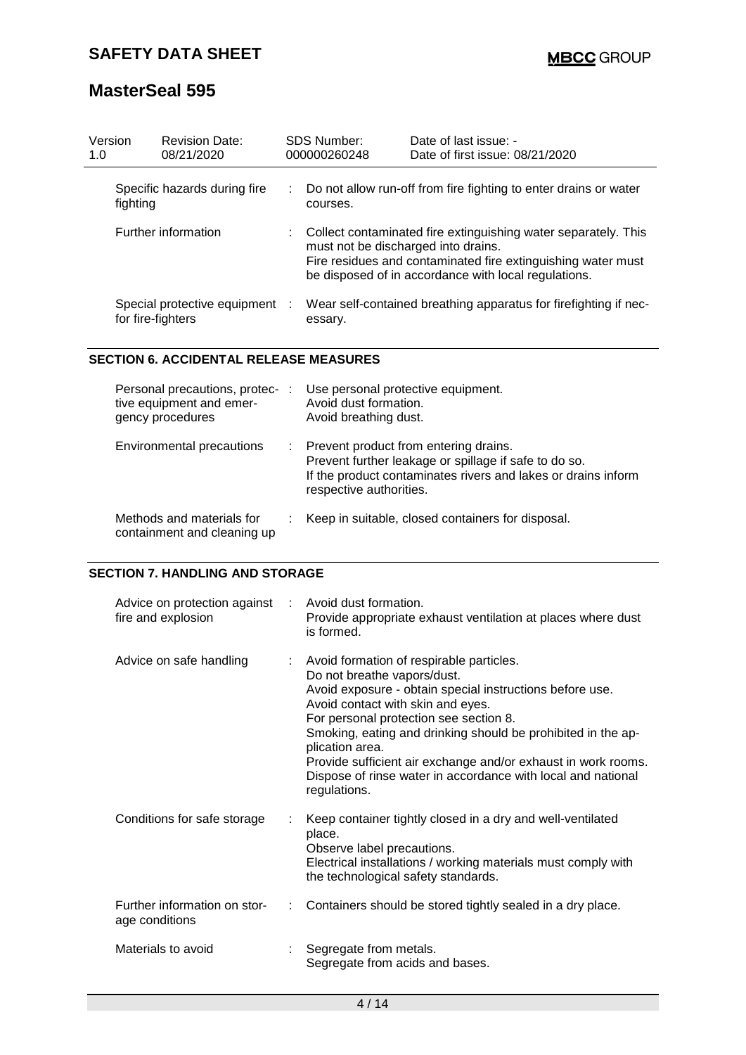| Version<br>1.0             |                   | <b>Revision Date:</b><br>08/21/2020                                                                                                                                                                                           | SDS Number:<br>000000260248 | Date of last issue: -<br>Date of first issue: 08/21/2020         |
|----------------------------|-------------------|-------------------------------------------------------------------------------------------------------------------------------------------------------------------------------------------------------------------------------|-----------------------------|------------------------------------------------------------------|
|                            | fighting          | Specific hazards during fire                                                                                                                                                                                                  | courses.                    | Do not allow run-off from fire fighting to enter drains or water |
| <b>Further information</b> |                   | Collect contaminated fire extinguishing water separately. This<br>must not be discharged into drains.<br>Fire residues and contaminated fire extinguishing water must<br>be disposed of in accordance with local regulations. |                             |                                                                  |
|                            | for fire-fighters | Special protective equipment :                                                                                                                                                                                                | essary.                     | Wear self-contained breathing apparatus for firefighting if nec- |

#### **SECTION 6. ACCIDENTAL RELEASE MEASURES**

| Personal precautions, protec-<br>tive equipment and emer-<br>gency procedures | -11 | Use personal protective equipment.<br>Avoid dust formation.<br>Avoid breathing dust.                                                                                                         |
|-------------------------------------------------------------------------------|-----|----------------------------------------------------------------------------------------------------------------------------------------------------------------------------------------------|
| Environmental precautions                                                     |     | : Prevent product from entering drains.<br>Prevent further leakage or spillage if safe to do so.<br>If the product contaminates rivers and lakes or drains inform<br>respective authorities. |
| Methods and materials for<br>containment and cleaning up                      |     | Keep in suitable, closed containers for disposal.                                                                                                                                            |

#### **SECTION 7. HANDLING AND STORAGE**

| Advice on protection against<br>fire and explosion | : Avoid dust formation.<br>Provide appropriate exhaust ventilation at places where dust<br>is formed.                                                                                                                                                                                                                                                                                                                                                    |
|----------------------------------------------------|----------------------------------------------------------------------------------------------------------------------------------------------------------------------------------------------------------------------------------------------------------------------------------------------------------------------------------------------------------------------------------------------------------------------------------------------------------|
| Advice on safe handling                            | : Avoid formation of respirable particles.<br>Do not breathe vapors/dust.<br>Avoid exposure - obtain special instructions before use.<br>Avoid contact with skin and eyes.<br>For personal protection see section 8.<br>Smoking, eating and drinking should be prohibited in the ap-<br>plication area.<br>Provide sufficient air exchange and/or exhaust in work rooms.<br>Dispose of rinse water in accordance with local and national<br>regulations. |
| Conditions for safe storage                        | Keep container tightly closed in a dry and well-ventilated<br>place.<br>Observe label precautions.<br>Electrical installations / working materials must comply with<br>the technological safety standards.                                                                                                                                                                                                                                               |
| Further information on stor-<br>age conditions     | Containers should be stored tightly sealed in a dry place.                                                                                                                                                                                                                                                                                                                                                                                               |
| Materials to avoid                                 | Segregate from metals.<br>Segregate from acids and bases.                                                                                                                                                                                                                                                                                                                                                                                                |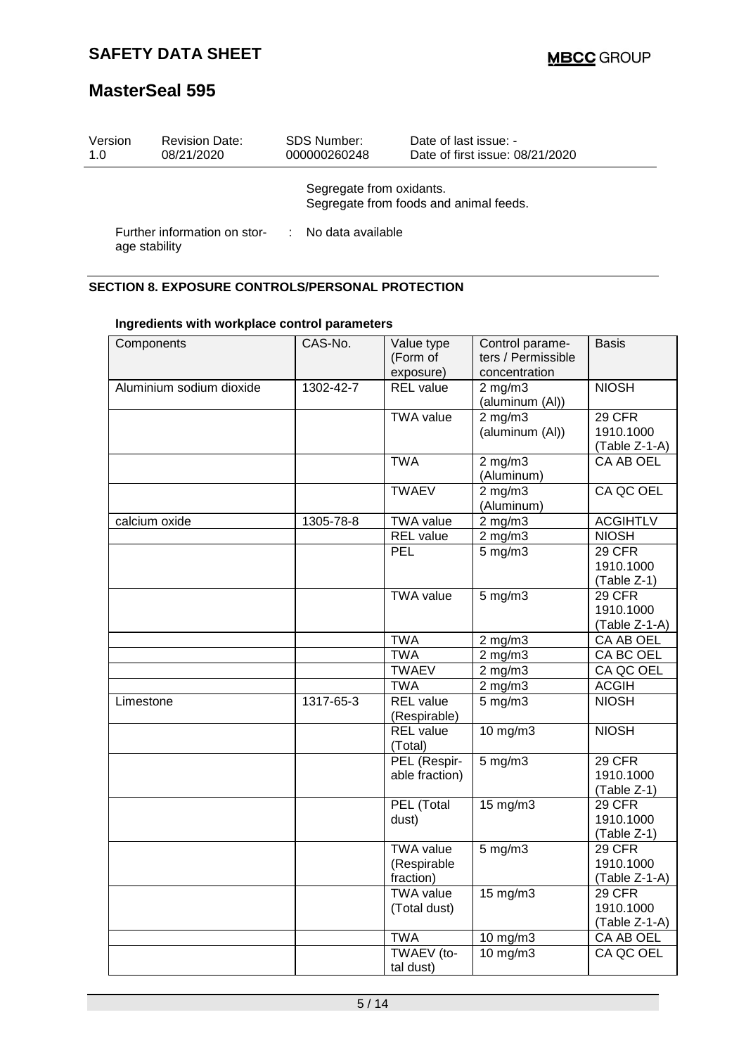| Version<br>1.0 | <b>Revision Date:</b><br>08/21/2020 | <b>SDS Number:</b><br>000000260248 | Date of last issue: -<br>Date of first issue: 08/21/2020 |
|----------------|-------------------------------------|------------------------------------|----------------------------------------------------------|
|                |                                     | Segregate from oxidants.           | Segregate from foods and animal feeds.                   |
| age stability  | Further information on stor-        | : No data available                |                                                          |

### **SECTION 8. EXPOSURE CONTROLS/PERSONAL PROTECTION**

|                          | CAS-No.         |                             | Control parame-                     |                  |
|--------------------------|-----------------|-----------------------------|-------------------------------------|------------------|
| Components               |                 | Value type<br>(Form of      | ters / Permissible                  | Basis            |
|                          |                 | exposure)                   | concentration                       |                  |
| Aluminium sodium dioxide | $1302 - 42 - 7$ | <b>REL</b> value            | $2$ mg/m $3$                        | <b>NIOSH</b>     |
|                          |                 |                             | (aluminum (Al))                     |                  |
|                          |                 | <b>TWA value</b>            | $2$ mg/m $3$                        | 29 CFR           |
|                          |                 |                             | (aluminum (Al))                     | 1910.1000        |
|                          |                 |                             |                                     | (Table Z-1-A)    |
|                          |                 | <b>TWA</b>                  | $2$ mg/m $3$                        | <b>CA AB OEL</b> |
|                          |                 |                             | (Aluminum)                          |                  |
|                          |                 | <b>TWAEV</b>                | $2$ mg/m $3$                        | CA QC OEL        |
|                          |                 |                             | (Aluminum)                          |                  |
| calcium oxide            | 1305-78-8       | <b>TWA value</b>            | $2$ mg/m $3$                        | <b>ACGIHTLV</b>  |
|                          |                 | <b>REL</b> value            | $2 \overline{\text{mg}} / \text{m}$ | <b>NIOSH</b>     |
|                          |                 | PEL                         | 5 mg/m3                             | 29 CFR           |
|                          |                 |                             |                                     | 1910.1000        |
|                          |                 |                             |                                     | (Table Z-1)      |
|                          |                 | <b>TWA value</b>            | $5$ mg/m $3$                        | 29 CFR           |
|                          |                 |                             |                                     | 1910.1000        |
|                          |                 |                             |                                     | (Table Z-1-A)    |
|                          |                 | <b>TWA</b>                  | $2$ mg/m $3$                        | CA AB OEL        |
|                          |                 | <b>TWA</b>                  | $2$ mg/m $3$                        | CA BC OEL        |
|                          |                 | <b>TWAEV</b>                | $2$ mg/m $3$                        | CA QC OEL        |
|                          |                 | <b>TWA</b>                  | $2$ mg/m $3$                        | <b>ACGIH</b>     |
| Limestone                | 1317-65-3       | <b>REL</b> value            | $5$ mg/m $3$                        | <b>NIOSH</b>     |
|                          |                 | (Respirable)                |                                     |                  |
|                          |                 | <b>REL</b> value<br>(Total) | 10 mg/m3                            | <b>NIOSH</b>     |
|                          |                 | PEL (Respir-                | $5 \,\mathrm{mg/m}$                 | 29 CFR           |
|                          |                 | able fraction)              |                                     | 1910.1000        |
|                          |                 |                             |                                     | (Table Z-1)      |
|                          |                 | PEL (Total                  | $15 \text{ mg/m}$                   | 29 CFR           |
|                          |                 | dust)                       |                                     | 1910.1000        |
|                          |                 |                             |                                     | (Table Z-1)      |
|                          |                 | <b>TWA value</b>            | $5$ mg/m $3$                        | 29 CFR           |
|                          |                 | (Respirable                 |                                     | 1910.1000        |
|                          |                 | fraction)                   |                                     | $(Table Z-1-A)$  |
|                          |                 | <b>TWA value</b>            | $15 \text{ mg/m}$                   | 29 CFR           |
|                          |                 | (Total dust)                |                                     | 1910.1000        |
|                          |                 |                             |                                     | $(Table Z-1-A)$  |
|                          |                 | <b>TWA</b>                  | 10 mg/m3                            | CA AB OEL        |
|                          |                 | TWAEV (to-                  | $10$ mg/m $3$                       | CA QC OEL        |
|                          |                 | tal dust)                   |                                     |                  |

#### **Ingredients with workplace control parameters**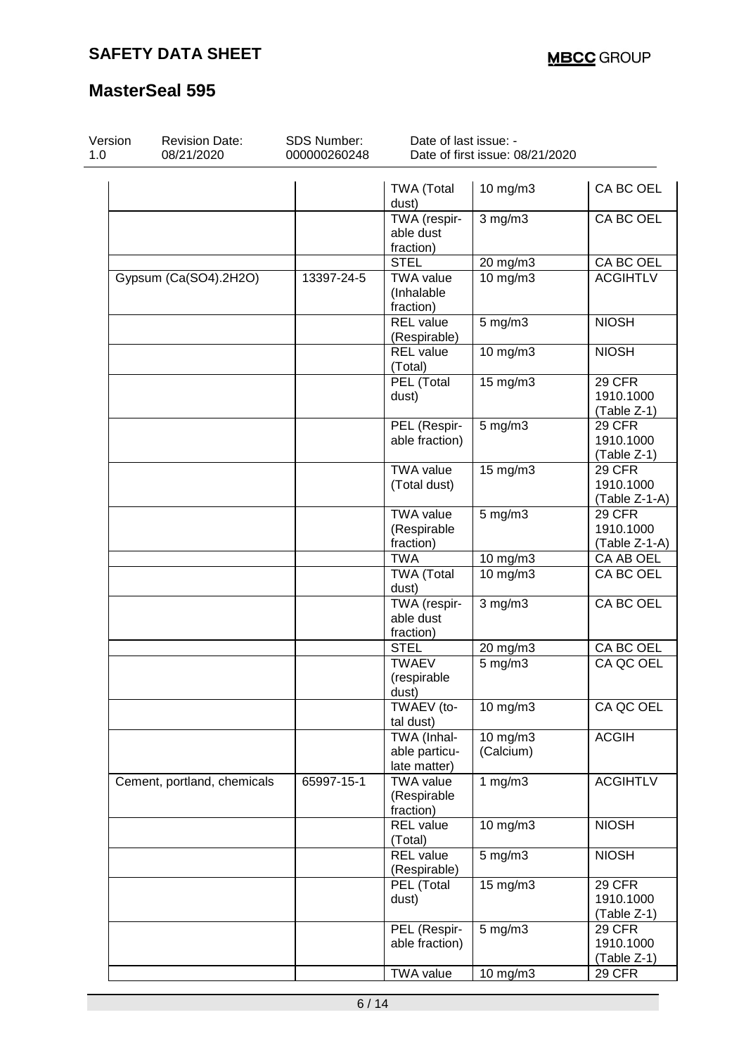| Version<br>1.0 | <b>Revision Date:</b><br>08/21/2020 | <b>SDS Number:</b><br>000000260248 | Date of last issue: -<br>Date of first issue: 08/21/2020 |                       |                                             |  |
|----------------|-------------------------------------|------------------------------------|----------------------------------------------------------|-----------------------|---------------------------------------------|--|
|                |                                     |                                    | <b>TWA (Total</b><br>dust)                               | 10 mg/m3              | CA BC OEL                                   |  |
|                |                                     |                                    | TWA (respir-<br>able dust<br>fraction)                   | $3$ mg/m $3$          | CA BC OEL                                   |  |
|                |                                     |                                    | <b>STEL</b>                                              | 20 mg/m3              | CA BC OEL                                   |  |
|                | Gypsum (Ca(SO4).2H2O)               | 13397-24-5                         | <b>TWA value</b><br>(Inhalable<br>fraction)              | 10 mg/m3              | <b>ACGIHTLV</b>                             |  |
|                |                                     |                                    | <b>REL</b> value<br>(Respirable)                         | $5$ mg/m $3$          | <b>NIOSH</b>                                |  |
|                |                                     |                                    | <b>REL</b> value<br>(Total)                              | 10 mg/m3              | <b>NIOSH</b>                                |  |
|                |                                     |                                    | PEL (Total<br>dust)                                      | $15$ mg/m $3$         | 29 CFR<br>1910.1000<br>(Table Z-1)          |  |
|                |                                     |                                    | PEL (Respir-<br>able fraction)                           | $5$ mg/m $3$          | 29 CFR<br>1910.1000<br>(Table Z-1)          |  |
|                |                                     |                                    | <b>TWA value</b><br>(Total dust)                         | $15 \text{ mg/m}$     | <b>29 CFR</b><br>1910.1000<br>(Table Z-1-A) |  |
|                |                                     |                                    | <b>TWA value</b><br>(Respirable<br>fraction)             | $5$ mg/m $3$          | <b>29 CFR</b><br>1910.1000<br>(Table Z-1-A) |  |
|                |                                     |                                    | <b>TWA</b>                                               | 10 mg/m3              | CA AB OEL                                   |  |
|                |                                     |                                    | <b>TWA (Total</b><br>dust)                               | 10 mg/m3              | CA BC OEL                                   |  |
|                |                                     |                                    | TWA (respir-<br>able dust<br>fraction)                   | $3$ mg/m $3$          | CA BC OEL                                   |  |
|                |                                     |                                    | <b>STEL</b>                                              | 20 mg/m3              | CA BC OEL                                   |  |
|                |                                     |                                    | <b>TWAEV</b><br>(respirable<br>dust)                     | $5 \text{ mg/m}$ 3    | CA QC OEL                                   |  |
|                |                                     |                                    | TWAEV (to-<br>tal dust)                                  | 10 mg/m3              | CA QC OEL                                   |  |
|                |                                     |                                    | TWA (Inhal-<br>able particu-<br>late matter)             | 10 mg/m3<br>(Calcium) | <b>ACGIH</b>                                |  |
|                | Cement, portland, chemicals         | 65997-15-1                         | <b>TWA value</b><br>(Respirable<br>fraction)             | 1 $mg/m3$             | <b>ACGIHTLV</b>                             |  |
|                |                                     |                                    | <b>REL</b> value<br>(Total)                              | 10 mg/m3              | <b>NIOSH</b>                                |  |
|                |                                     |                                    | <b>REL</b> value<br>(Respirable)                         | $5$ mg/m $3$          | <b>NIOSH</b>                                |  |
|                |                                     |                                    | PEL (Total<br>dust)                                      | $15$ mg/m $3$         | <b>29 CFR</b><br>1910.1000<br>(Table Z-1)   |  |
|                |                                     |                                    | PEL (Respir-<br>able fraction)                           | $5$ mg/m $3$          | <b>29 CFR</b><br>1910.1000<br>(Table Z-1)   |  |
|                |                                     |                                    | <b>TWA value</b>                                         | 10 mg/m3              | <b>29 CFR</b>                               |  |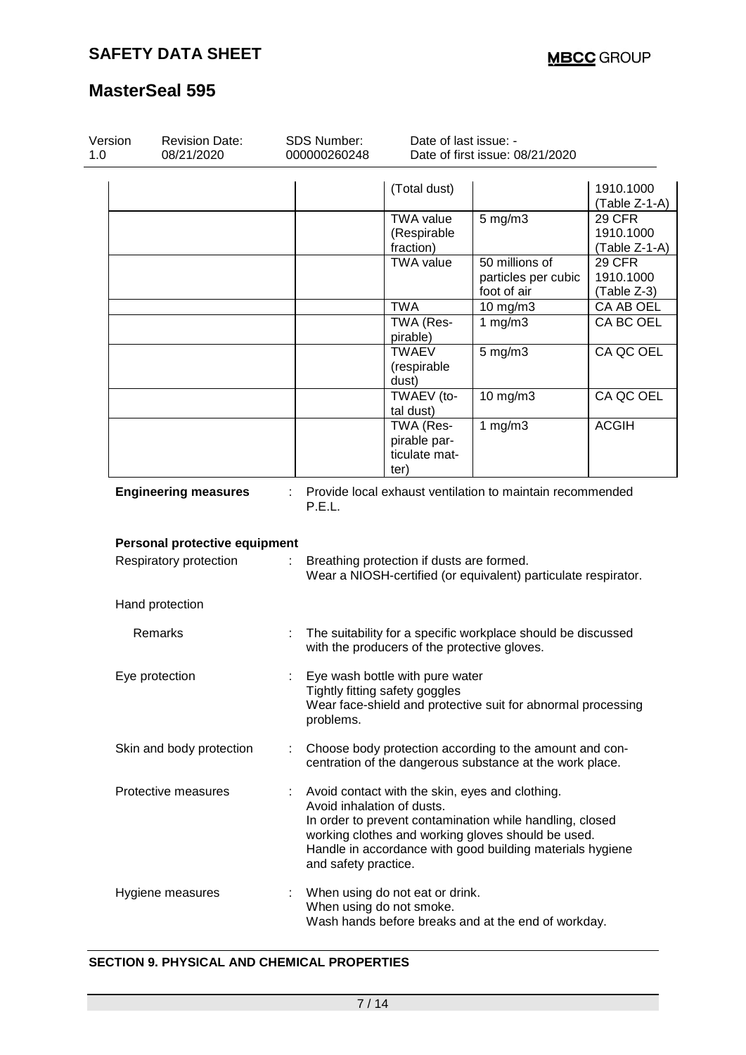| Version<br>1.0 | SDS Number:<br><b>Revision Date:</b><br>08/21/2020<br>000000260248 |  |                                                                                                                                                | Date of last issue: -<br>Date of first issue: 08/21/2020 |                                                                                                                                                                                                                                |                                             |  |
|----------------|--------------------------------------------------------------------|--|------------------------------------------------------------------------------------------------------------------------------------------------|----------------------------------------------------------|--------------------------------------------------------------------------------------------------------------------------------------------------------------------------------------------------------------------------------|---------------------------------------------|--|
|                |                                                                    |  |                                                                                                                                                | (Total dust)                                             |                                                                                                                                                                                                                                | 1910.1000<br>(Table Z-1-A)                  |  |
|                |                                                                    |  |                                                                                                                                                | <b>TWA value</b><br>(Respirable<br>fraction)             | $5$ mg/m $3$                                                                                                                                                                                                                   | <b>29 CFR</b><br>1910.1000<br>(Table Z-1-A) |  |
|                |                                                                    |  |                                                                                                                                                | <b>TWA value</b>                                         | 50 millions of<br>particles per cubic<br>foot of air                                                                                                                                                                           | <b>29 CFR</b><br>1910.1000<br>(Table Z-3)   |  |
|                |                                                                    |  |                                                                                                                                                | <b>TWA</b>                                               | 10 mg/m3                                                                                                                                                                                                                       | CA AB OEL                                   |  |
|                |                                                                    |  |                                                                                                                                                | TWA (Res-<br>pirable)                                    | 1 $mg/m3$                                                                                                                                                                                                                      | CA BC OEL                                   |  |
|                |                                                                    |  |                                                                                                                                                | <b>TWAEV</b><br>(respirable<br>dust)                     | 5 mg/m3                                                                                                                                                                                                                        | CA QC OEL                                   |  |
|                |                                                                    |  |                                                                                                                                                | TWAEV (to-<br>tal dust)                                  | 10 mg/m3                                                                                                                                                                                                                       | CA QC OEL                                   |  |
|                |                                                                    |  |                                                                                                                                                | TWA (Res-<br>pirable par-<br>ticulate mat-<br>ter)       | 1 $mg/m3$                                                                                                                                                                                                                      | <b>ACGIH</b>                                |  |
|                | <b>Engineering measures</b>                                        |  | Provide local exhaust ventilation to maintain recommended<br>P.E.L.                                                                            |                                                          |                                                                                                                                                                                                                                |                                             |  |
|                | Personal protective equipment                                      |  |                                                                                                                                                |                                                          |                                                                                                                                                                                                                                |                                             |  |
|                | Respiratory protection                                             |  | Breathing protection if dusts are formed.<br>Wear a NIOSH-certified (or equivalent) particulate respirator.                                    |                                                          |                                                                                                                                                                                                                                |                                             |  |
|                | Hand protection                                                    |  |                                                                                                                                                |                                                          |                                                                                                                                                                                                                                |                                             |  |
|                | Remarks                                                            |  | The suitability for a specific workplace should be discussed<br>with the producers of the protective gloves.                                   |                                                          |                                                                                                                                                                                                                                |                                             |  |
|                | Eye protection                                                     |  | Eye wash bottle with pure water<br>Tightly fitting safety goggles<br>Wear face-shield and protective suit for abnormal processing<br>problems. |                                                          |                                                                                                                                                                                                                                |                                             |  |
|                | Skin and body protection                                           |  |                                                                                                                                                |                                                          | Choose body protection according to the amount and con-<br>centration of the dangerous substance at the work place.                                                                                                            |                                             |  |
|                | Protective measures                                                |  | Avoid inhalation of dusts.<br>and safety practice.                                                                                             |                                                          | Avoid contact with the skin, eyes and clothing.<br>In order to prevent contamination while handling, closed<br>working clothes and working gloves should be used.<br>Handle in accordance with good building materials hygiene |                                             |  |
|                | Hygiene measures                                                   |  | When using do not eat or drink.<br>When using do not smoke.<br>Wash hands before breaks and at the end of workday.                             |                                                          |                                                                                                                                                                                                                                |                                             |  |

### **SECTION 9. PHYSICAL AND CHEMICAL PROPERTIES**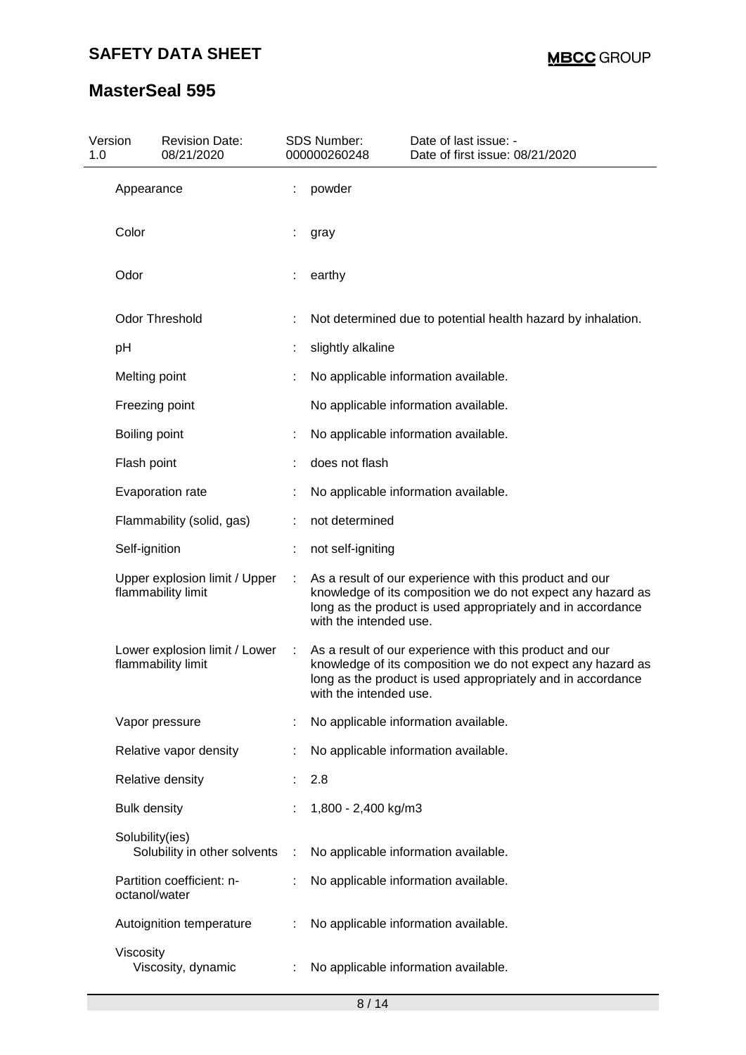| Version<br>1.0 | <b>Revision Date:</b><br>08/21/2020                 |   | SDS Number:<br>000000260248 | Date of last issue: -<br>Date of first issue: 08/21/2020                                                                                                                              |
|----------------|-----------------------------------------------------|---|-----------------------------|---------------------------------------------------------------------------------------------------------------------------------------------------------------------------------------|
|                | Appearance                                          |   | powder                      |                                                                                                                                                                                       |
|                | Color                                               |   | gray                        |                                                                                                                                                                                       |
|                | Odor                                                |   | earthy                      |                                                                                                                                                                                       |
|                | <b>Odor Threshold</b>                               |   |                             | Not determined due to potential health hazard by inhalation.                                                                                                                          |
|                | рH                                                  |   | slightly alkaline           |                                                                                                                                                                                       |
|                | Melting point                                       |   |                             | No applicable information available.                                                                                                                                                  |
|                | Freezing point                                      |   |                             | No applicable information available.                                                                                                                                                  |
|                | Boiling point                                       |   |                             | No applicable information available.                                                                                                                                                  |
|                | Flash point                                         |   | does not flash              |                                                                                                                                                                                       |
|                | Evaporation rate                                    |   |                             | No applicable information available.                                                                                                                                                  |
|                | Flammability (solid, gas)                           |   | not determined              |                                                                                                                                                                                       |
|                | Self-ignition                                       |   | not self-igniting           |                                                                                                                                                                                       |
|                | Upper explosion limit / Upper<br>flammability limit |   | with the intended use.      | As a result of our experience with this product and our<br>knowledge of its composition we do not expect any hazard as<br>long as the product is used appropriately and in accordance |
|                | Lower explosion limit / Lower<br>flammability limit | ÷ | with the intended use.      | As a result of our experience with this product and our<br>knowledge of its composition we do not expect any hazard as<br>long as the product is used appropriately and in accordance |
|                | Vapor pressure                                      |   |                             | No applicable information available.                                                                                                                                                  |
|                | Relative vapor density                              |   |                             | No applicable information available.                                                                                                                                                  |
|                | Relative density                                    |   | 2.8                         |                                                                                                                                                                                       |
|                | <b>Bulk density</b>                                 |   | 1,800 - 2,400 kg/m3         |                                                                                                                                                                                       |
|                | Solubility(ies)<br>Solubility in other solvents     | ÷ |                             | No applicable information available.                                                                                                                                                  |
|                | Partition coefficient: n-<br>octanol/water          |   |                             | No applicable information available.                                                                                                                                                  |
|                | Autoignition temperature                            |   |                             | No applicable information available.                                                                                                                                                  |
|                | Viscosity<br>Viscosity, dynamic                     |   |                             | No applicable information available.                                                                                                                                                  |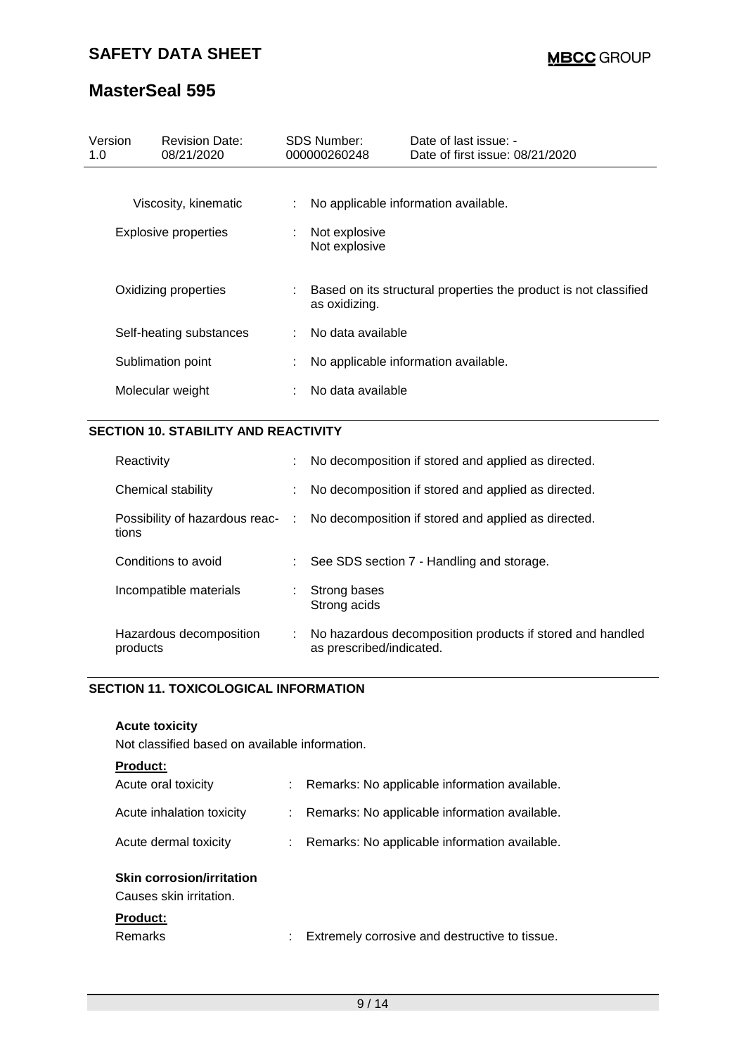### **SAFETY DATA SHEET**

# **MasterSeal 595**

| Version<br>1.0              | <b>Revision Date:</b><br>08/21/2020 |    | <b>SDS Number:</b><br>000000260248 | Date of last issue: -<br>Date of first issue: 08/21/2020         |
|-----------------------------|-------------------------------------|----|------------------------------------|------------------------------------------------------------------|
| Viscosity, kinematic        |                                     | ÷. |                                    | No applicable information available.                             |
| <b>Explosive properties</b> |                                     | ÷  | Not explosive<br>Not explosive     |                                                                  |
| Oxidizing properties        |                                     |    | as oxidizing.                      | Based on its structural properties the product is not classified |
| Self-heating substances     |                                     | ÷. | No data available                  |                                                                  |
|                             | Sublimation point                   | ÷  |                                    | No applicable information available.                             |
| Molecular weight            |                                     |    | No data available                  |                                                                  |

### **SECTION 10. STABILITY AND REACTIVITY**

| Reactivity                              |    | No decomposition if stored and applied as directed.                                   |
|-----------------------------------------|----|---------------------------------------------------------------------------------------|
| Chemical stability                      |    | No decomposition if stored and applied as directed.                                   |
| Possibility of hazardous reac-<br>tions |    | : No decomposition if stored and applied as directed.                                 |
| Conditions to avoid                     |    | See SDS section 7 - Handling and storage.                                             |
| Incompatible materials                  | ÷. | Strong bases<br>Strong acids                                                          |
| Hazardous decomposition<br>products     |    | No hazardous decomposition products if stored and handled<br>as prescribed/indicated. |

### **SECTION 11. TOXICOLOGICAL INFORMATION**

### **Acute toxicity**

Not classified based on available information.

### **Product:**

| Acute oral toxicity                                         | Remarks: No applicable information available.   |
|-------------------------------------------------------------|-------------------------------------------------|
| Acute inhalation toxicity                                   | : Remarks: No applicable information available. |
| Acute dermal toxicity                                       | : Remarks: No applicable information available. |
| <b>Skin corrosion/irritation</b><br>Causes skin irritation. |                                                 |

### **Product:**

| <b>Remarks</b> |  | Extremely corrosive and destructive to tissue. |
|----------------|--|------------------------------------------------|
|----------------|--|------------------------------------------------|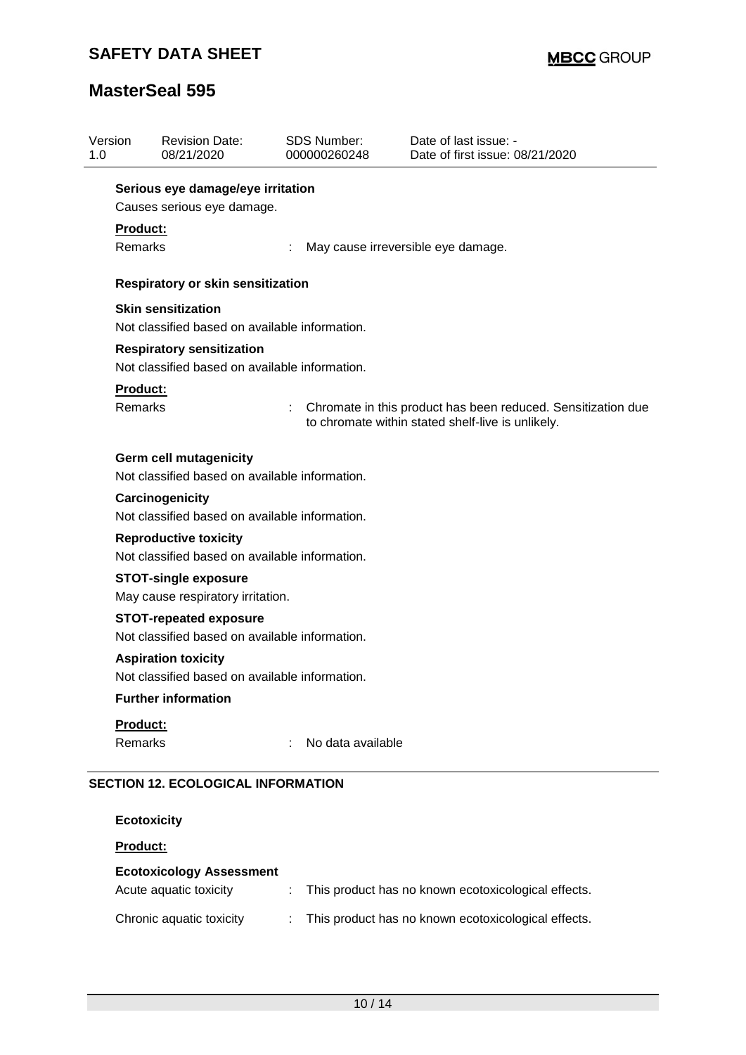| Version<br>1.0 |                            | <b>Revision Date:</b><br>08/21/2020                                                | <b>SDS Number:</b><br>000000260248 | Date of last issue: -<br>Date of first issue: 08/21/2020                                                          |  |  |  |  |  |  |
|----------------|----------------------------|------------------------------------------------------------------------------------|------------------------------------|-------------------------------------------------------------------------------------------------------------------|--|--|--|--|--|--|
|                |                            | Serious eye damage/eye irritation                                                  |                                    |                                                                                                                   |  |  |  |  |  |  |
|                | Causes serious eye damage. |                                                                                    |                                    |                                                                                                                   |  |  |  |  |  |  |
|                | Product:                   |                                                                                    |                                    |                                                                                                                   |  |  |  |  |  |  |
|                | Remarks                    |                                                                                    |                                    | May cause irreversible eye damage.                                                                                |  |  |  |  |  |  |
|                |                            | <b>Respiratory or skin sensitization</b>                                           |                                    |                                                                                                                   |  |  |  |  |  |  |
|                |                            | <b>Skin sensitization</b>                                                          |                                    |                                                                                                                   |  |  |  |  |  |  |
|                |                            | Not classified based on available information.                                     |                                    |                                                                                                                   |  |  |  |  |  |  |
|                |                            | <b>Respiratory sensitization</b><br>Not classified based on available information. |                                    |                                                                                                                   |  |  |  |  |  |  |
|                | <b>Product:</b>            |                                                                                    |                                    |                                                                                                                   |  |  |  |  |  |  |
|                | Remarks                    |                                                                                    |                                    | Chromate in this product has been reduced. Sensitization due<br>to chromate within stated shelf-live is unlikely. |  |  |  |  |  |  |
|                |                            | <b>Germ cell mutagenicity</b><br>Not classified based on available information.    |                                    |                                                                                                                   |  |  |  |  |  |  |
|                |                            | Carcinogenicity<br>Not classified based on available information.                  |                                    |                                                                                                                   |  |  |  |  |  |  |
|                |                            | <b>Reproductive toxicity</b><br>Not classified based on available information.     |                                    |                                                                                                                   |  |  |  |  |  |  |
|                |                            | <b>STOT-single exposure</b>                                                        |                                    |                                                                                                                   |  |  |  |  |  |  |
|                |                            | May cause respiratory irritation.                                                  |                                    |                                                                                                                   |  |  |  |  |  |  |
|                |                            | <b>STOT-repeated exposure</b>                                                      |                                    |                                                                                                                   |  |  |  |  |  |  |
|                |                            | Not classified based on available information.                                     |                                    |                                                                                                                   |  |  |  |  |  |  |
|                |                            | <b>Aspiration toxicity</b>                                                         |                                    |                                                                                                                   |  |  |  |  |  |  |
|                |                            | Not classified based on available information.                                     |                                    |                                                                                                                   |  |  |  |  |  |  |
|                |                            | <b>Further information</b>                                                         |                                    |                                                                                                                   |  |  |  |  |  |  |
|                | Product:                   |                                                                                    |                                    |                                                                                                                   |  |  |  |  |  |  |
|                | Remarks                    |                                                                                    | No data available                  |                                                                                                                   |  |  |  |  |  |  |
|                |                            | <b>SECTION 12. ECOLOGICAL INFORMATION</b>                                          |                                    |                                                                                                                   |  |  |  |  |  |  |
|                |                            | <b>Ecotoxicity</b>                                                                 |                                    |                                                                                                                   |  |  |  |  |  |  |
|                | Product:                   |                                                                                    |                                    |                                                                                                                   |  |  |  |  |  |  |
|                |                            | <b>Ecotoxicology Assessment</b>                                                    |                                    |                                                                                                                   |  |  |  |  |  |  |
|                |                            | Acute aquatic toxicity                                                             | ÷                                  | This product has no known ecotoxicological effects.                                                               |  |  |  |  |  |  |
|                |                            | Chronic aquatic toxicity                                                           |                                    | This product has no known ecotoxicological effects.                                                               |  |  |  |  |  |  |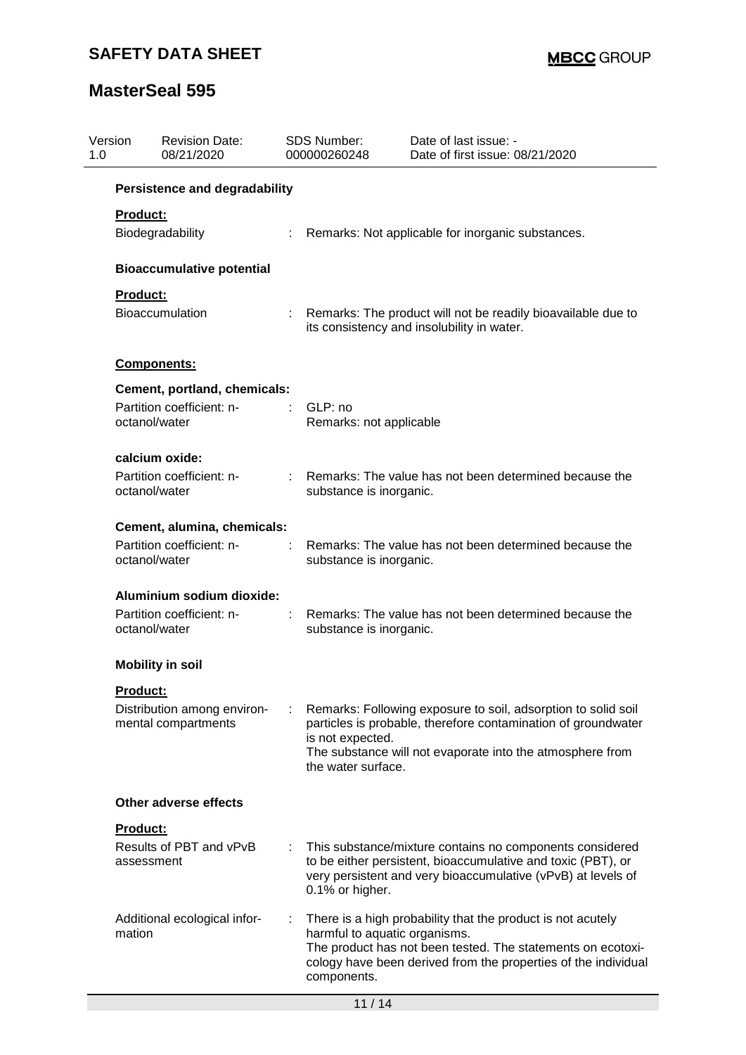| Version<br>1.0 | <b>Revision Date:</b><br>08/21/2020                |                                                                                                                                                                                                                                       | <b>SDS Number:</b><br>000000260248           | Date of last issue: -<br>Date of first issue: 08/21/2020                                                                                                                                     |
|----------------|----------------------------------------------------|---------------------------------------------------------------------------------------------------------------------------------------------------------------------------------------------------------------------------------------|----------------------------------------------|----------------------------------------------------------------------------------------------------------------------------------------------------------------------------------------------|
|                | <b>Persistence and degradability</b>               |                                                                                                                                                                                                                                       |                                              |                                                                                                                                                                                              |
|                | <b>Product:</b><br>Biodegradability                | $\mathcal{L}^{\mathcal{L}}$ .                                                                                                                                                                                                         |                                              | Remarks: Not applicable for inorganic substances.                                                                                                                                            |
|                | <b>Bioaccumulative potential</b>                   |                                                                                                                                                                                                                                       |                                              |                                                                                                                                                                                              |
|                | Product:<br><b>Bioaccumulation</b>                 |                                                                                                                                                                                                                                       |                                              | Remarks: The product will not be readily bioavailable due to<br>its consistency and insolubility in water.                                                                                   |
|                | Components:                                        |                                                                                                                                                                                                                                       |                                              |                                                                                                                                                                                              |
|                | Cement, portland, chemicals:                       |                                                                                                                                                                                                                                       |                                              |                                                                                                                                                                                              |
|                | Partition coefficient: n-<br>octanol/water         |                                                                                                                                                                                                                                       | GLP: no<br>Remarks: not applicable           |                                                                                                                                                                                              |
|                | calcium oxide:                                     |                                                                                                                                                                                                                                       |                                              |                                                                                                                                                                                              |
|                | Partition coefficient: n-<br>octanol/water         |                                                                                                                                                                                                                                       | substance is inorganic.                      | Remarks: The value has not been determined because the                                                                                                                                       |
|                | Cement, alumina, chemicals:                        |                                                                                                                                                                                                                                       |                                              |                                                                                                                                                                                              |
|                | Partition coefficient: n-<br>octanol/water         |                                                                                                                                                                                                                                       | substance is inorganic.                      | Remarks: The value has not been determined because the                                                                                                                                       |
|                | Aluminium sodium dioxide:                          |                                                                                                                                                                                                                                       |                                              |                                                                                                                                                                                              |
|                | Partition coefficient: n-<br>octanol/water         | substance is inorganic.                                                                                                                                                                                                               |                                              | Remarks: The value has not been determined because the                                                                                                                                       |
|                | <b>Mobility in soil</b>                            |                                                                                                                                                                                                                                       |                                              |                                                                                                                                                                                              |
|                | <b>Product:</b>                                    |                                                                                                                                                                                                                                       |                                              |                                                                                                                                                                                              |
|                | Distribution among environ-<br>mental compartments | Remarks: Following exposure to soil, adsorption to solid soil<br>particles is probable, therefore contamination of groundwater<br>is not expected.<br>The substance will not evaporate into the atmosphere from<br>the water surface. |                                              |                                                                                                                                                                                              |
|                | Other adverse effects                              |                                                                                                                                                                                                                                       |                                              |                                                                                                                                                                                              |
|                | Product:                                           |                                                                                                                                                                                                                                       |                                              |                                                                                                                                                                                              |
|                | Results of PBT and vPvB<br>assessment              |                                                                                                                                                                                                                                       | 0.1% or higher.                              | This substance/mixture contains no components considered<br>to be either persistent, bioaccumulative and toxic (PBT), or<br>very persistent and very bioaccumulative (vPvB) at levels of     |
|                | Additional ecological infor-<br>mation             |                                                                                                                                                                                                                                       | harmful to aquatic organisms.<br>components. | There is a high probability that the product is not acutely<br>The product has not been tested. The statements on ecotoxi-<br>cology have been derived from the properties of the individual |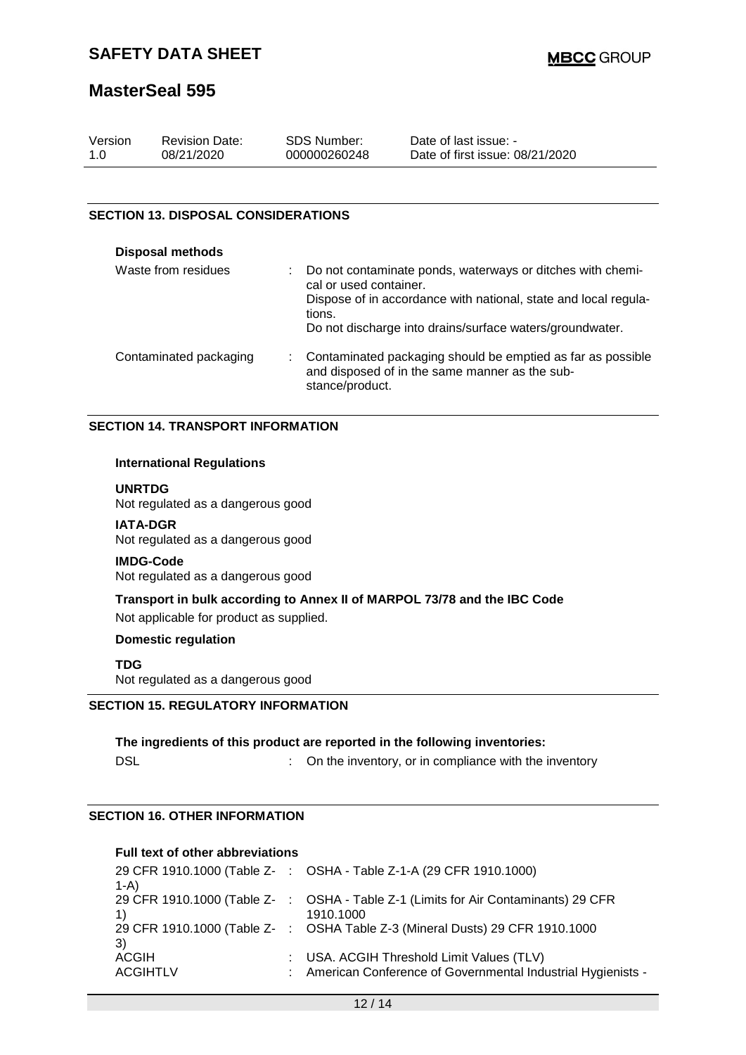| Version | <b>Revision Date:</b> | SDS Number:  | Date of last issue: -           |
|---------|-----------------------|--------------|---------------------------------|
| 1.0     | 08/21/2020            | 000000260248 | Date of first issue: 08/21/2020 |

#### **SECTION 13. DISPOSAL CONSIDERATIONS**

| <b>Disposal methods</b> |                                                                                                                                                                                                                               |
|-------------------------|-------------------------------------------------------------------------------------------------------------------------------------------------------------------------------------------------------------------------------|
| Waste from residues     | Do not contaminate ponds, waterways or ditches with chemi-<br>cal or used container.<br>Dispose of in accordance with national, state and local regula-<br>tions.<br>Do not discharge into drains/surface waters/groundwater. |
| Contaminated packaging  | Contaminated packaging should be emptied as far as possible<br>and disposed of in the same manner as the sub-<br>stance/product.                                                                                              |

#### **SECTION 14. TRANSPORT INFORMATION**

#### **International Regulations**

**UNRTDG**

Not regulated as a dangerous good

**IATA-DGR** Not regulated as a dangerous good

#### **IMDG-Code**

Not regulated as a dangerous good

#### **Transport in bulk according to Annex II of MARPOL 73/78 and the IBC Code**

Not applicable for product as supplied.

#### **Domestic regulation**

**TDG**

Not regulated as a dangerous good

### **SECTION 15. REGULATORY INFORMATION**

**The ingredients of this product are reported in the following inventories:** DSL **DISL DISL COMPONE 1 COMPONE 1 COMPONE 1 COMPONE 1 COMPONE 1 COMPONE 1 COMPONE 1 COMPONE 1 COMPONE 1 COMPONE 1 COMPONE 1 COMPONE 1 COMPONE 1 COMPONE 1 COMPONE 1 COMPONE 1 COMPONE 1**

### **SECTION 16. OTHER INFORMATION**

#### **Full text of other abbreviations**

| 29 CFR 1910.1000 (Table Z- : OSHA - Table Z-1-A (29 CFR 1910.1000)                |
|-----------------------------------------------------------------------------------|
|                                                                                   |
| 29 CFR 1910.1000 (Table Z-: OSHA - Table Z-1 (Limits for Air Contaminants) 29 CFR |
| 1910.1000                                                                         |
| 29 CFR 1910.1000 (Table Z- : OSHA Table Z-3 (Mineral Dusts) 29 CFR 1910.1000      |
|                                                                                   |
| : USA. ACGIH Threshold Limit Values (TLV)                                         |
| : American Conference of Governmental Industrial Hygienists -                     |
|                                                                                   |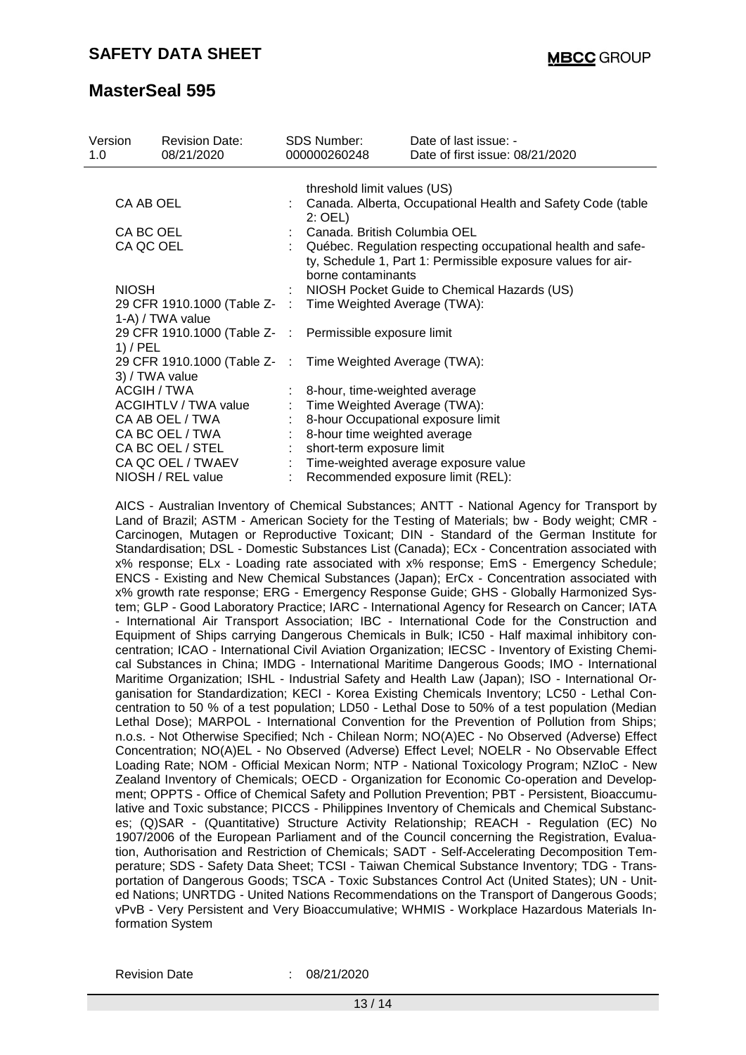| Version<br>1.0                                                                | <b>Revision Date:</b><br>08/21/2020 | SDS Number:<br>000000260248                                                                                                                       | Date of last issue: -<br>Date of first issue: 08/21/2020 |  |
|-------------------------------------------------------------------------------|-------------------------------------|---------------------------------------------------------------------------------------------------------------------------------------------------|----------------------------------------------------------|--|
|                                                                               |                                     | threshold limit values (US)                                                                                                                       |                                                          |  |
| CA AB OEL                                                                     |                                     | : Canada. Alberta, Occupational Health and Safety Code (table<br>$2:$ OEL)                                                                        |                                                          |  |
| CA BC OEL                                                                     |                                     | : Canada. British Columbia OEL                                                                                                                    |                                                          |  |
| CA QC OEL                                                                     |                                     | Québec. Regulation respecting occupational health and safe-<br>ty, Schedule 1, Part 1: Permissible exposure values for air-<br>borne contaminants |                                                          |  |
| <b>NIOSH</b>                                                                  |                                     |                                                                                                                                                   | : NIOSH Pocket Guide to Chemical Hazards (US)            |  |
| 29 CFR 1910.1000 (Table Z- : Time Weighted Average (TWA):<br>1-A) / TWA value |                                     |                                                                                                                                                   |                                                          |  |
| 29 CFR 1910.1000 (Table Z- : Permissible exposure limit<br>$1)$ / PEL         |                                     |                                                                                                                                                   |                                                          |  |
| 3) / TWA value                                                                |                                     | 29 CFR 1910.1000 (Table Z- : Time Weighted Average (TWA):                                                                                         |                                                          |  |
| ACGIH / TWA                                                                   |                                     | : 8-hour, time-weighted average                                                                                                                   |                                                          |  |
| <b>ACGIHTLV / TWA value</b>                                                   |                                     | Time Weighted Average (TWA):                                                                                                                      |                                                          |  |
| CA AB OEL / TWA                                                               |                                     | 8-hour Occupational exposure limit                                                                                                                |                                                          |  |
| CA BC OEL / TWA                                                               |                                     | 8-hour time weighted average                                                                                                                      |                                                          |  |
| CA BC OEL / STEL                                                              |                                     | short-term exposure limit                                                                                                                         |                                                          |  |
| CA QC OEL / TWAEV                                                             |                                     |                                                                                                                                                   | Time-weighted average exposure value                     |  |
| NIOSH / REL value                                                             |                                     |                                                                                                                                                   | Recommended exposure limit (REL):                        |  |

AICS - Australian Inventory of Chemical Substances; ANTT - National Agency for Transport by Land of Brazil; ASTM - American Society for the Testing of Materials; bw - Body weight; CMR - Carcinogen, Mutagen or Reproductive Toxicant; DIN - Standard of the German Institute for Standardisation; DSL - Domestic Substances List (Canada); ECx - Concentration associated with x% response; ELx - Loading rate associated with x% response; EmS - Emergency Schedule; ENCS - Existing and New Chemical Substances (Japan); ErCx - Concentration associated with x% growth rate response; ERG - Emergency Response Guide; GHS - Globally Harmonized System; GLP - Good Laboratory Practice; IARC - International Agency for Research on Cancer; IATA - International Air Transport Association; IBC - International Code for the Construction and Equipment of Ships carrying Dangerous Chemicals in Bulk; IC50 - Half maximal inhibitory concentration; ICAO - International Civil Aviation Organization; IECSC - Inventory of Existing Chemical Substances in China; IMDG - International Maritime Dangerous Goods; IMO - International Maritime Organization; ISHL - Industrial Safety and Health Law (Japan); ISO - International Organisation for Standardization; KECI - Korea Existing Chemicals Inventory; LC50 - Lethal Concentration to 50 % of a test population; LD50 - Lethal Dose to 50% of a test population (Median Lethal Dose); MARPOL - International Convention for the Prevention of Pollution from Ships; n.o.s. - Not Otherwise Specified; Nch - Chilean Norm; NO(A)EC - No Observed (Adverse) Effect Concentration; NO(A)EL - No Observed (Adverse) Effect Level; NOELR - No Observable Effect Loading Rate; NOM - Official Mexican Norm; NTP - National Toxicology Program; NZIoC - New Zealand Inventory of Chemicals; OECD - Organization for Economic Co-operation and Development; OPPTS - Office of Chemical Safety and Pollution Prevention; PBT - Persistent, Bioaccumulative and Toxic substance; PICCS - Philippines Inventory of Chemicals and Chemical Substances; (Q)SAR - (Quantitative) Structure Activity Relationship; REACH - Regulation (EC) No 1907/2006 of the European Parliament and of the Council concerning the Registration, Evaluation, Authorisation and Restriction of Chemicals; SADT - Self-Accelerating Decomposition Temperature; SDS - Safety Data Sheet; TCSI - Taiwan Chemical Substance Inventory; TDG - Transportation of Dangerous Goods; TSCA - Toxic Substances Control Act (United States); UN - United Nations; UNRTDG - United Nations Recommendations on the Transport of Dangerous Goods; vPvB - Very Persistent and Very Bioaccumulative; WHMIS - Workplace Hazardous Materials Information System

Revision Date : 08/21/2020